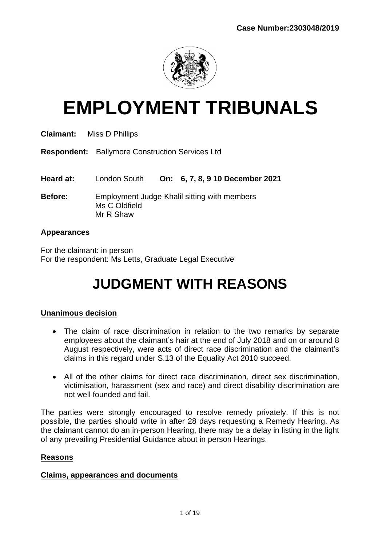

# **EMPLOYMENT TRIBUNALS**

| <b>Claimant:</b> | Miss D Phillips                                                            |
|------------------|----------------------------------------------------------------------------|
|                  | <b>Respondent:</b> Ballymore Construction Services Ltd                     |
| Heard at:        | On: 6, 7, 8, 9 10 December 2021<br>London South                            |
| <b>Before:</b>   | Employment Judge Khalil sitting with members<br>Ms C Oldfield<br>Mr R Shaw |

#### **Appearances**

For the claimant: in person For the respondent: Ms Letts, Graduate Legal Executive

# **JUDGMENT WITH REASONS**

## **Unanimous decision**

- The claim of race discrimination in relation to the two remarks by separate employees about the claimant's hair at the end of July 2018 and on or around 8 August respectively, were acts of direct race discrimination and the claimant's claims in this regard under S.13 of the Equality Act 2010 succeed.
- All of the other claims for direct race discrimination, direct sex discrimination, victimisation, harassment (sex and race) and direct disability discrimination are not well founded and fail.

The parties were strongly encouraged to resolve remedy privately. If this is not possible, the parties should write in after 28 days requesting a Remedy Hearing. As the claimant cannot do an in-person Hearing, there may be a delay in listing in the light of any prevailing Presidential Guidance about in person Hearings.

#### **Reasons**

#### **Claims, appearances and documents**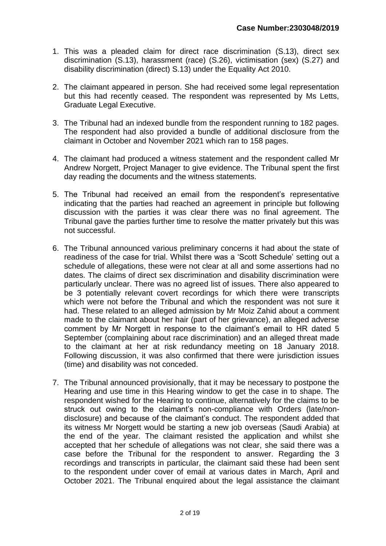- 1. This was a pleaded claim for direct race discrimination (S.13), direct sex discrimination (S.13), harassment (race) (S.26), victimisation (sex) (S.27) and disability discrimination (direct) S.13) under the Equality Act 2010.
- 2. The claimant appeared in person. She had received some legal representation but this had recently ceased. The respondent was represented by Ms Letts, Graduate Legal Executive.
- 3. The Tribunal had an indexed bundle from the respondent running to 182 pages. The respondent had also provided a bundle of additional disclosure from the claimant in October and November 2021 which ran to 158 pages.
- 4. The claimant had produced a witness statement and the respondent called Mr Andrew Norgett, Project Manager to give evidence. The Tribunal spent the first day reading the documents and the witness statements.
- 5. The Tribunal had received an email from the respondent's representative indicating that the parties had reached an agreement in principle but following discussion with the parties it was clear there was no final agreement. The Tribunal gave the parties further time to resolve the matter privately but this was not successful.
- 6. The Tribunal announced various preliminary concerns it had about the state of readiness of the case for trial. Whilst there was a 'Scott Schedule' setting out a schedule of allegations, these were not clear at all and some assertions had no dates. The claims of direct sex discrimination and disability discrimination were particularly unclear. There was no agreed list of issues. There also appeared to be 3 potentially relevant covert recordings for which there were transcripts which were not before the Tribunal and which the respondent was not sure it had. These related to an alleged admission by Mr Moiz Zahid about a comment made to the claimant about her hair (part of her grievance), an alleged adverse comment by Mr Norgett in response to the claimant's email to HR dated 5 September (complaining about race discrimination) and an alleged threat made to the claimant at her at risk redundancy meeting on 18 January 2018. Following discussion, it was also confirmed that there were jurisdiction issues (time) and disability was not conceded.
- 7. The Tribunal announced provisionally, that it may be necessary to postpone the Hearing and use time in this Hearing window to get the case in to shape. The respondent wished for the Hearing to continue, alternatively for the claims to be struck out owing to the claimant's non-compliance with Orders (late/nondisclosure) and because of the claimant's conduct. The respondent added that its witness Mr Norgett would be starting a new job overseas (Saudi Arabia) at the end of the year. The claimant resisted the application and whilst she accepted that her schedule of allegations was not clear, she said there was a case before the Tribunal for the respondent to answer. Regarding the 3 recordings and transcripts in particular, the claimant said these had been sent to the respondent under cover of email at various dates in March, April and October 2021. The Tribunal enquired about the legal assistance the claimant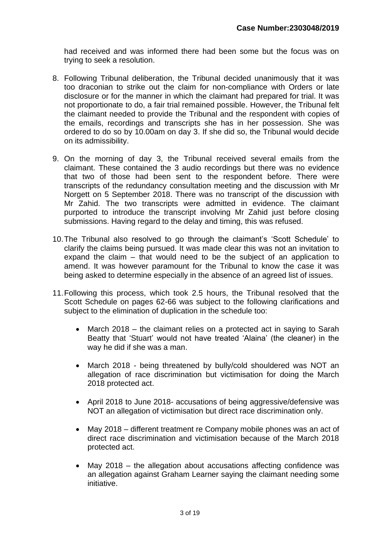had received and was informed there had been some but the focus was on trying to seek a resolution.

- 8. Following Tribunal deliberation, the Tribunal decided unanimously that it was too draconian to strike out the claim for non-compliance with Orders or late disclosure or for the manner in which the claimant had prepared for trial. It was not proportionate to do, a fair trial remained possible. However, the Tribunal felt the claimant needed to provide the Tribunal and the respondent with copies of the emails, recordings and transcripts she has in her possession. She was ordered to do so by 10.00am on day 3. If she did so, the Tribunal would decide on its admissibility.
- 9. On the morning of day 3, the Tribunal received several emails from the claimant. These contained the 3 audio recordings but there was no evidence that two of those had been sent to the respondent before. There were transcripts of the redundancy consultation meeting and the discussion with Mr Norgett on 5 September 2018. There was no transcript of the discussion with Mr Zahid. The two transcripts were admitted in evidence. The claimant purported to introduce the transcript involving Mr Zahid just before closing submissions. Having regard to the delay and timing, this was refused.
- 10.The Tribunal also resolved to go through the claimant's 'Scott Schedule' to clarify the claims being pursued. It was made clear this was not an invitation to expand the claim – that would need to be the subject of an application to amend. It was however paramount for the Tribunal to know the case it was being asked to determine especially in the absence of an agreed list of issues.
- 11.Following this process, which took 2.5 hours, the Tribunal resolved that the Scott Schedule on pages 62-66 was subject to the following clarifications and subject to the elimination of duplication in the schedule too:
	- March 2018 the claimant relies on a protected act in saying to Sarah Beatty that 'Stuart' would not have treated 'Alaina' (the cleaner) in the way he did if she was a man.
	- March 2018 being threatened by bully/cold shouldered was NOT an allegation of race discrimination but victimisation for doing the March 2018 protected act.
	- April 2018 to June 2018- accusations of being aggressive/defensive was NOT an allegation of victimisation but direct race discrimination only.
	- May 2018 different treatment re Company mobile phones was an act of direct race discrimination and victimisation because of the March 2018 protected act.
	- May  $2018$  the allegation about accusations affecting confidence was an allegation against Graham Learner saying the claimant needing some initiative.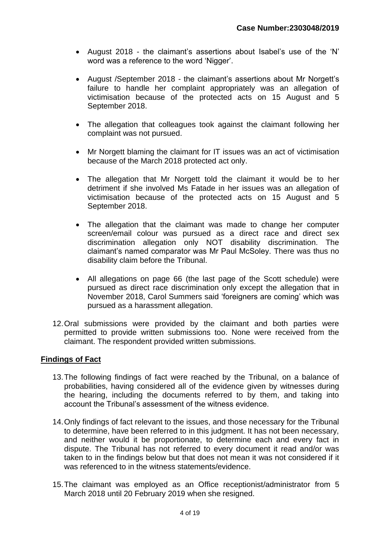- August 2018 the claimant's assertions about Isabel's use of the 'N' word was a reference to the word 'Nigger'.
- August /September 2018 the claimant's assertions about Mr Norgett's failure to handle her complaint appropriately was an allegation of victimisation because of the protected acts on 15 August and 5 September 2018.
- The allegation that colleagues took against the claimant following her complaint was not pursued.
- Mr Norgett blaming the claimant for IT issues was an act of victimisation because of the March 2018 protected act only.
- The allegation that Mr Norgett told the claimant it would be to her detriment if she involved Ms Fatade in her issues was an allegation of victimisation because of the protected acts on 15 August and 5 September 2018.
- The allegation that the claimant was made to change her computer screen/email colour was pursued as a direct race and direct sex discrimination allegation only NOT disability discrimination. The claimant's named comparator was Mr Paul McSoley. There was thus no disability claim before the Tribunal.
- All allegations on page 66 (the last page of the Scott schedule) were pursued as direct race discrimination only except the allegation that in November 2018, Carol Summers said 'foreigners are coming' which was pursued as a harassment allegation.
- 12.Oral submissions were provided by the claimant and both parties were permitted to provide written submissions too. None were received from the claimant. The respondent provided written submissions.

#### **Findings of Fact**

- 13.The following findings of fact were reached by the Tribunal, on a balance of probabilities, having considered all of the evidence given by witnesses during the hearing, including the documents referred to by them, and taking into account the Tribunal's assessment of the witness evidence.
- 14.Only findings of fact relevant to the issues, and those necessary for the Tribunal to determine, have been referred to in this judgment. It has not been necessary, and neither would it be proportionate, to determine each and every fact in dispute. The Tribunal has not referred to every document it read and/or was taken to in the findings below but that does not mean it was not considered if it was referenced to in the witness statements/evidence.
- 15.The claimant was employed as an Office receptionist/administrator from 5 March 2018 until 20 February 2019 when she resigned.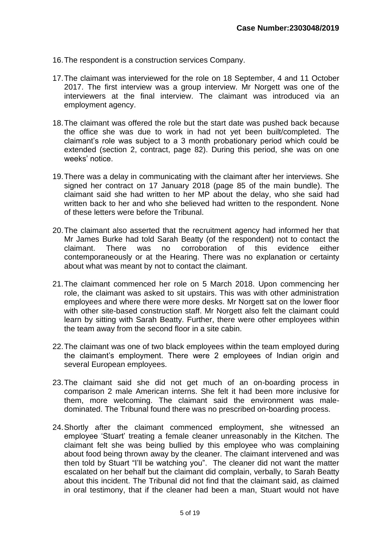- 16.The respondent is a construction services Company.
- 17.The claimant was interviewed for the role on 18 September, 4 and 11 October 2017. The first interview was a group interview. Mr Norgett was one of the interviewers at the final interview. The claimant was introduced via an employment agency.
- 18.The claimant was offered the role but the start date was pushed back because the office she was due to work in had not yet been built/completed. The claimant's role was subject to a 3 month probationary period which could be extended (section 2, contract, page 82). During this period, she was on one weeks' notice.
- 19.There was a delay in communicating with the claimant after her interviews. She signed her contract on 17 January 2018 (page 85 of the main bundle). The claimant said she had written to her MP about the delay, who she said had written back to her and who she believed had written to the respondent. None of these letters were before the Tribunal.
- 20.The claimant also asserted that the recruitment agency had informed her that Mr James Burke had told Sarah Beatty (of the respondent) not to contact the claimant. There was no corroboration of this evidence either contemporaneously or at the Hearing. There was no explanation or certainty about what was meant by not to contact the claimant.
- 21.The claimant commenced her role on 5 March 2018. Upon commencing her role, the claimant was asked to sit upstairs. This was with other administration employees and where there were more desks. Mr Norgett sat on the lower floor with other site-based construction staff. Mr Norgett also felt the claimant could learn by sitting with Sarah Beatty. Further, there were other employees within the team away from the second floor in a site cabin.
- 22.The claimant was one of two black employees within the team employed during the claimant's employment. There were 2 employees of Indian origin and several European employees.
- 23.The claimant said she did not get much of an on-boarding process in comparison 2 male American interns. She felt it had been more inclusive for them, more welcoming. The claimant said the environment was maledominated. The Tribunal found there was no prescribed on-boarding process.
- 24.Shortly after the claimant commenced employment, she witnessed an employee 'Stuart' treating a female cleaner unreasonably in the Kitchen. The claimant felt she was being bullied by this employee who was complaining about food being thrown away by the cleaner. The claimant intervened and was then told by Stuart "I'll be watching you". The cleaner did not want the matter escalated on her behalf but the claimant did complain, verbally, to Sarah Beatty about this incident. The Tribunal did not find that the claimant said, as claimed in oral testimony, that if the cleaner had been a man, Stuart would not have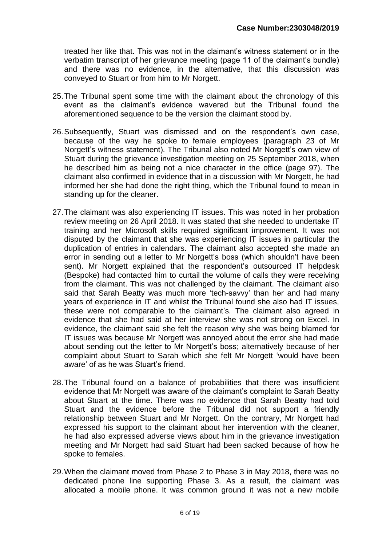treated her like that. This was not in the claimant's witness statement or in the verbatim transcript of her grievance meeting (page 11 of the claimant's bundle) and there was no evidence, in the alternative, that this discussion was conveyed to Stuart or from him to Mr Norgett.

- 25.The Tribunal spent some time with the claimant about the chronology of this event as the claimant's evidence wavered but the Tribunal found the aforementioned sequence to be the version the claimant stood by.
- 26.Subsequently, Stuart was dismissed and on the respondent's own case, because of the way he spoke to female employees (paragraph 23 of Mr Norgett's witness statement). The Tribunal also noted Mr Norgett's own view of Stuart during the grievance investigation meeting on 25 September 2018, when he described him as being not a nice character in the office (page 97). The claimant also confirmed in evidence that in a discussion with Mr Norgett, he had informed her she had done the right thing, which the Tribunal found to mean in standing up for the cleaner.
- 27.The claimant was also experiencing IT issues. This was noted in her probation review meeting on 26 April 2018. It was stated that she needed to undertake IT training and her Microsoft skills required significant improvement. It was not disputed by the claimant that she was experiencing IT issues in particular the duplication of entries in calendars. The claimant also accepted she made an error in sending out a letter to Mr Norgett's boss (which shouldn't have been sent). Mr Norgett explained that the respondent's outsourced IT helpdesk (Bespoke) had contacted him to curtail the volume of calls they were receiving from the claimant. This was not challenged by the claimant. The claimant also said that Sarah Beatty was much more 'tech-savvy' than her and had many years of experience in IT and whilst the Tribunal found she also had IT issues, these were not comparable to the claimant's. The claimant also agreed in evidence that she had said at her interview she was not strong on Excel. In evidence, the claimant said she felt the reason why she was being blamed for IT issues was because Mr Norgett was annoyed about the error she had made about sending out the letter to Mr Norgett's boss; alternatively because of her complaint about Stuart to Sarah which she felt Mr Norgett 'would have been aware' of as he was Stuart's friend.
- 28.The Tribunal found on a balance of probabilities that there was insufficient evidence that Mr Norgett was aware of the claimant's complaint to Sarah Beatty about Stuart at the time. There was no evidence that Sarah Beatty had told Stuart and the evidence before the Tribunal did not support a friendly relationship between Stuart and Mr Norgett. On the contrary, Mr Norgett had expressed his support to the claimant about her intervention with the cleaner, he had also expressed adverse views about him in the grievance investigation meeting and Mr Norgett had said Stuart had been sacked because of how he spoke to females.
- 29.When the claimant moved from Phase 2 to Phase 3 in May 2018, there was no dedicated phone line supporting Phase 3. As a result, the claimant was allocated a mobile phone. It was common ground it was not a new mobile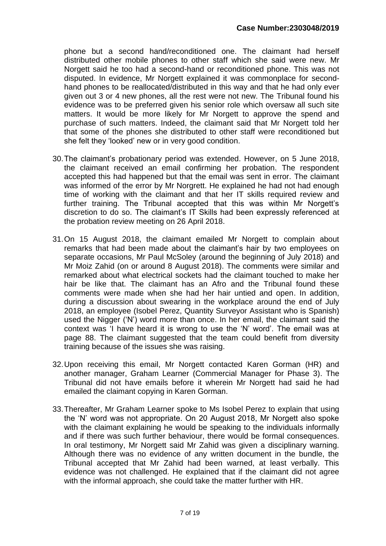phone but a second hand/reconditioned one. The claimant had herself distributed other mobile phones to other staff which she said were new. Mr Norgett said he too had a second-hand or reconditioned phone. This was not disputed. In evidence, Mr Norgett explained it was commonplace for secondhand phones to be reallocated/distributed in this way and that he had only ever given out 3 or 4 new phones, all the rest were not new. The Tribunal found his evidence was to be preferred given his senior role which oversaw all such site matters. It would be more likely for Mr Norgett to approve the spend and purchase of such matters. Indeed, the claimant said that Mr Norgett told her that some of the phones she distributed to other staff were reconditioned but she felt they 'looked' new or in very good condition.

- 30.The claimant's probationary period was extended. However, on 5 June 2018, the claimant received an email confirming her probation. The respondent accepted this had happened but that the email was sent in error. The claimant was informed of the error by Mr Norgrett. He explained he had not had enough time of working with the claimant and that her IT skills required review and further training. The Tribunal accepted that this was within Mr Norgett's discretion to do so. The claimant's IT Skills had been expressly referenced at the probation review meeting on 26 April 2018.
- 31.On 15 August 2018, the claimant emailed Mr Norgett to complain about remarks that had been made about the claimant's hair by two employees on separate occasions, Mr Paul McSoley (around the beginning of July 2018) and Mr Moiz Zahid (on or around 8 August 2018). The comments were similar and remarked about what electrical sockets had the claimant touched to make her hair be like that. The claimant has an Afro and the Tribunal found these comments were made when she had her hair untied and open. In addition, during a discussion about swearing in the workplace around the end of July 2018, an employee (Isobel Perez, Quantity Surveyor Assistant who is Spanish) used the Nigger ('N') word more than once. In her email, the claimant said the context was 'I have heard it is wrong to use the 'N' word'. The email was at page 88. The claimant suggested that the team could benefit from diversity training because of the issues she was raising.
- 32.Upon receiving this email, Mr Norgett contacted Karen Gorman (HR) and another manager, Graham Learner (Commercial Manager for Phase 3). The Tribunal did not have emails before it wherein Mr Norgett had said he had emailed the claimant copying in Karen Gorman.
- 33.Thereafter, Mr Graham Learner spoke to Ms Isobel Perez to explain that using the 'N' word was not appropriate. On 20 August 2018, Mr Norgett also spoke with the claimant explaining he would be speaking to the individuals informally and if there was such further behaviour, there would be formal consequences. In oral testimony, Mr Norgett said Mr Zahid was given a disciplinary warning. Although there was no evidence of any written document in the bundle, the Tribunal accepted that Mr Zahid had been warned, at least verbally. This evidence was not challenged. He explained that if the claimant did not agree with the informal approach, she could take the matter further with HR.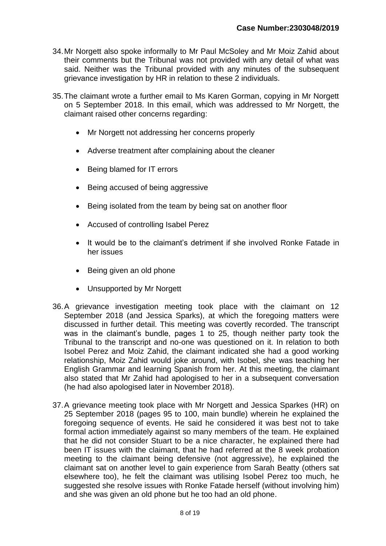- 34.Mr Norgett also spoke informally to Mr Paul McSoley and Mr Moiz Zahid about their comments but the Tribunal was not provided with any detail of what was said. Neither was the Tribunal provided with any minutes of the subsequent grievance investigation by HR in relation to these 2 individuals.
- 35.The claimant wrote a further email to Ms Karen Gorman, copying in Mr Norgett on 5 September 2018. In this email, which was addressed to Mr Norgett, the claimant raised other concerns regarding:
	- Mr Norgett not addressing her concerns properly
	- Adverse treatment after complaining about the cleaner
	- Being blamed for IT errors
	- Being accused of being aggressive
	- Being isolated from the team by being sat on another floor
	- Accused of controlling Isabel Perez
	- It would be to the claimant's detriment if she involved Ronke Fatade in her issues
	- Being given an old phone
	- Unsupported by Mr Norgett
- 36.A grievance investigation meeting took place with the claimant on 12 September 2018 (and Jessica Sparks), at which the foregoing matters were discussed in further detail. This meeting was covertly recorded. The transcript was in the claimant's bundle, pages 1 to 25, though neither party took the Tribunal to the transcript and no-one was questioned on it. In relation to both Isobel Perez and Moiz Zahid, the claimant indicated she had a good working relationship, Moiz Zahid would joke around, with Isobel, she was teaching her English Grammar and learning Spanish from her. At this meeting, the claimant also stated that Mr Zahid had apologised to her in a subsequent conversation (he had also apologised later in November 2018).
- 37.A grievance meeting took place with Mr Norgett and Jessica Sparkes (HR) on 25 September 2018 (pages 95 to 100, main bundle) wherein he explained the foregoing sequence of events. He said he considered it was best not to take formal action immediately against so many members of the team. He explained that he did not consider Stuart to be a nice character, he explained there had been IT issues with the claimant, that he had referred at the 8 week probation meeting to the claimant being defensive (not aggressive), he explained the claimant sat on another level to gain experience from Sarah Beatty (others sat elsewhere too), he felt the claimant was utilising Isobel Perez too much, he suggested she resolve issues with Ronke Fatade herself (without involving him) and she was given an old phone but he too had an old phone.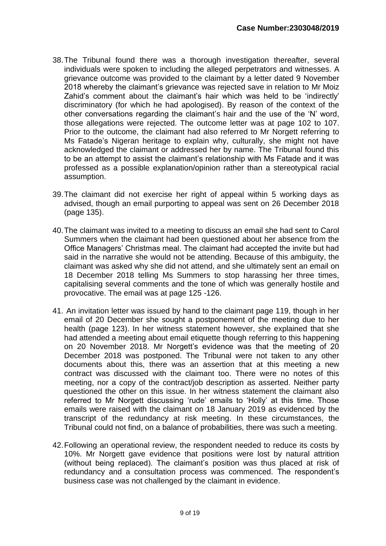- 38.The Tribunal found there was a thorough investigation thereafter, several individuals were spoken to including the alleged perpetrators and witnesses. A grievance outcome was provided to the claimant by a letter dated 9 November 2018 whereby the claimant's grievance was rejected save in relation to Mr Moiz Zahid's comment about the claimant's hair which was held to be 'indirectly' discriminatory (for which he had apologised). By reason of the context of the other conversations regarding the claimant's hair and the use of the 'N' word, those allegations were rejected. The outcome letter was at page 102 to 107. Prior to the outcome, the claimant had also referred to Mr Norgett referring to Ms Fatade's Nigeran heritage to explain why, culturally, she might not have acknowledged the claimant or addressed her by name. The Tribunal found this to be an attempt to assist the claimant's relationship with Ms Fatade and it was professed as a possible explanation/opinion rather than a stereotypical racial assumption.
- 39.The claimant did not exercise her right of appeal within 5 working days as advised, though an email purporting to appeal was sent on 26 December 2018 (page 135).
- 40.The claimant was invited to a meeting to discuss an email she had sent to Carol Summers when the claimant had been questioned about her absence from the Office Managers' Christmas meal. The claimant had accepted the invite but had said in the narrative she would not be attending. Because of this ambiguity, the claimant was asked why she did not attend, and she ultimately sent an email on 18 December 2018 telling Ms Summers to stop harassing her three times, capitalising several comments and the tone of which was generally hostile and provocative. The email was at page 125 -126.
- 41. An invitation letter was issued by hand to the claimant page 119, though in her email of 20 December she sought a postponement of the meeting due to her health (page 123). In her witness statement however, she explained that she had attended a meeting about email etiquette though referring to this happening on 20 November 2018. Mr Norgett's evidence was that the meeting of 20 December 2018 was postponed. The Tribunal were not taken to any other documents about this, there was an assertion that at this meeting a new contract was discussed with the claimant too. There were no notes of this meeting, nor a copy of the contract/job description as asserted. Neither party questioned the other on this issue. In her witness statement the claimant also referred to Mr Norgett discussing 'rude' emails to 'Holly' at this time. Those emails were raised with the claimant on 18 January 2019 as evidenced by the transcript of the redundancy at risk meeting. In these circumstances, the Tribunal could not find, on a balance of probabilities, there was such a meeting.
- 42.Following an operational review, the respondent needed to reduce its costs by 10%. Mr Norgett gave evidence that positions were lost by natural attrition (without being replaced). The claimant's position was thus placed at risk of redundancy and a consultation process was commenced. The respondent's business case was not challenged by the claimant in evidence.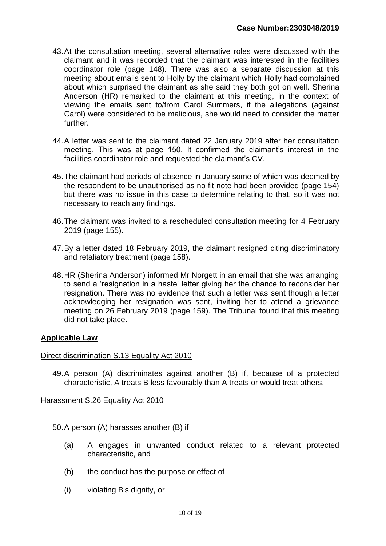- 43.At the consultation meeting, several alternative roles were discussed with the claimant and it was recorded that the claimant was interested in the facilities coordinator role (page 148). There was also a separate discussion at this meeting about emails sent to Holly by the claimant which Holly had complained about which surprised the claimant as she said they both got on well. Sherina Anderson (HR) remarked to the claimant at this meeting, in the context of viewing the emails sent to/from Carol Summers, if the allegations (against Carol) were considered to be malicious, she would need to consider the matter further.
- 44.A letter was sent to the claimant dated 22 January 2019 after her consultation meeting. This was at page 150. It confirmed the claimant's interest in the facilities coordinator role and requested the claimant's CV.
- 45.The claimant had periods of absence in January some of which was deemed by the respondent to be unauthorised as no fit note had been provided (page 154) but there was no issue in this case to determine relating to that, so it was not necessary to reach any findings.
- 46.The claimant was invited to a rescheduled consultation meeting for 4 February 2019 (page 155).
- 47.By a letter dated 18 February 2019, the claimant resigned citing discriminatory and retaliatory treatment (page 158).
- 48.HR (Sherina Anderson) informed Mr Norgett in an email that she was arranging to send a 'resignation in a haste' letter giving her the chance to reconsider her resignation. There was no evidence that such a letter was sent though a letter acknowledging her resignation was sent, inviting her to attend a grievance meeting on 26 February 2019 (page 159). The Tribunal found that this meeting did not take place.

#### **Applicable Law**

#### Direct discrimination S.13 Equality Act 2010

49.A person (A) discriminates against another (B) if, because of a protected characteristic, A treats B less favourably than A treats or would treat others.

#### Harassment S.26 Equality Act 2010

50.A person (A) harasses another (B) if

- (a) A engages in unwanted conduct related to a relevant protected characteristic, and
- (b) the conduct has the purpose or effect of
- (i) violating B's dignity, or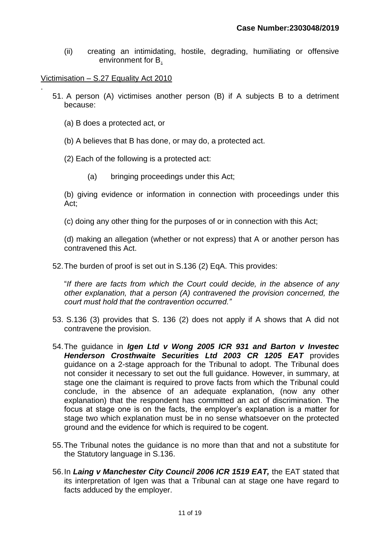(ii) creating an intimidating, hostile, degrading, humiliating or offensive environment for B.

Victimisation – S.27 Equality Act 2010

.

- 51. A person (A) victimises another person (B) if A subjects B to a detriment because:
	- (a) B does a protected act, or
	- (b) A believes that B has done, or may do, a protected act.
	- (2) Each of the following is a protected act:
		- (a) bringing proceedings under this Act;

(b) giving evidence or information in connection with proceedings under this Act;

(c) doing any other thing for the purposes of or in connection with this Act;

(d) making an allegation (whether or not express) that A or another person has contravened this Act.

52.The burden of proof is set out in S.136 (2) EqA. This provides:

"*If there are facts from which the Court could decide, in the absence of any other explanation, that a person (A) contravened the provision concerned, the court must hold that the contravention occurred."*

- 53. S.136 (3) provides that S. 136 (2) does not apply if A shows that A did not contravene the provision.
- 54.The guidance in *Igen Ltd v Wong 2005 ICR 931 and Barton v Investec Henderson Crosthwaite Securities Ltd 2003 CR 1205 EAT* provides guidance on a 2-stage approach for the Tribunal to adopt. The Tribunal does not consider it necessary to set out the full guidance. However, in summary, at stage one the claimant is required to prove facts from which the Tribunal could conclude, in the absence of an adequate explanation, (now any other explanation) that the respondent has committed an act of discrimination. The focus at stage one is on the facts, the employer's explanation is a matter for stage two which explanation must be in no sense whatsoever on the protected ground and the evidence for which is required to be cogent.
- 55.The Tribunal notes the guidance is no more than that and not a substitute for the Statutory language in S.136.
- 56.In *Laing v Manchester City Council 2006 ICR 1519 EAT,* the EAT stated that its interpretation of Igen was that a Tribunal can at stage one have regard to facts adduced by the employer.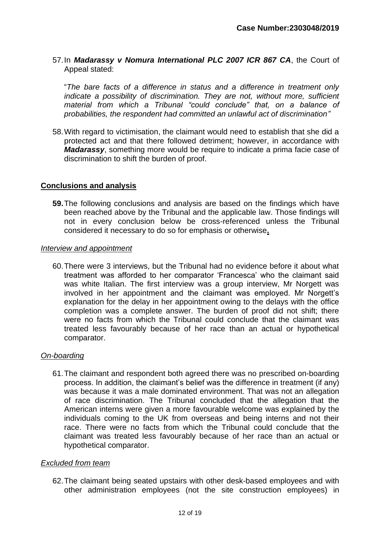57.In *Madarassy v Nomura International PLC 2007 ICR 867 CA*, the Court of Appeal stated:

"*The bare facts of a difference in status and a difference in treatment only indicate a possibility of discrimination. They are not, without more, sufficient material from which a Tribunal "could conclude" that, on a balance of probabilities, the respondent had committed an unlawful act of discrimination"*

58.With regard to victimisation, the claimant would need to establish that she did a protected act and that there followed detriment; however, in accordance with *Madarassy*, something more would be require to indicate a prima facie case of discrimination to shift the burden of proof.

#### **Conclusions and analysis**

**59.**The following conclusions and analysis are based on the findings which have been reached above by the Tribunal and the applicable law. Those findings will not in every conclusion below be cross-referenced unless the Tribunal considered it necessary to do so for emphasis or otherwise**.**

#### *Interview and appointment*

60.There were 3 interviews, but the Tribunal had no evidence before it about what treatment was afforded to her comparator 'Francesca' who the claimant said was white Italian. The first interview was a group interview, Mr Norgett was involved in her appointment and the claimant was employed. Mr Norgett's explanation for the delay in her appointment owing to the delays with the office completion was a complete answer. The burden of proof did not shift; there were no facts from which the Tribunal could conclude that the claimant was treated less favourably because of her race than an actual or hypothetical comparator.

#### *On-boarding*

61.The claimant and respondent both agreed there was no prescribed on-boarding process. In addition, the claimant's belief was the difference in treatment (if any) was because it was a male dominated environment. That was not an allegation of race discrimination. The Tribunal concluded that the allegation that the American interns were given a more favourable welcome was explained by the individuals coming to the UK from overseas and being interns and not their race. There were no facts from which the Tribunal could conclude that the claimant was treated less favourably because of her race than an actual or hypothetical comparator.

#### *Excluded from team*

62.The claimant being seated upstairs with other desk-based employees and with other administration employees (not the site construction employees) in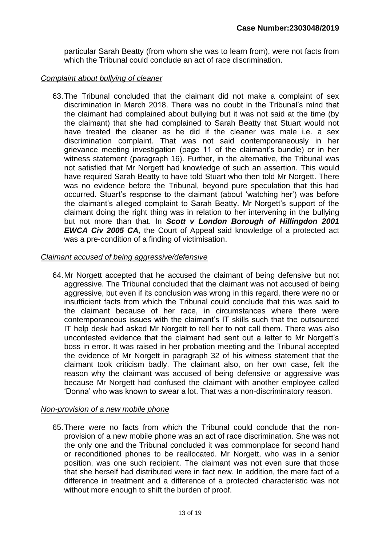particular Sarah Beatty (from whom she was to learn from), were not facts from which the Tribunal could conclude an act of race discrimination.

#### *Complaint about bullying of cleaner*

63.The Tribunal concluded that the claimant did not make a complaint of sex discrimination in March 2018. There was no doubt in the Tribunal's mind that the claimant had complained about bullying but it was not said at the time (by the claimant) that she had complained to Sarah Beatty that Stuart would not have treated the cleaner as he did if the cleaner was male i.e. a sex discrimination complaint. That was not said contemporaneously in her grievance meeting investigation (page 11 of the claimant's bundle) or in her witness statement (paragraph 16). Further, in the alternative, the Tribunal was not satisfied that Mr Norgett had knowledge of such an assertion. This would have required Sarah Beatty to have told Stuart who then told Mr Norgett. There was no evidence before the Tribunal, beyond pure speculation that this had occurred. Stuart's response to the claimant (about 'watching her') was before the claimant's alleged complaint to Sarah Beatty. Mr Norgett's support of the claimant doing the right thing was in relation to her intervening in the bullying but not more than that. In *Scott v London Borough of Hillingdon 2001 EWCA Civ 2005 CA,* the Court of Appeal said knowledge of a protected act was a pre-condition of a finding of victimisation.

#### *Claimant accused of being aggressive/defensive*

64.Mr Norgett accepted that he accused the claimant of being defensive but not aggressive. The Tribunal concluded that the claimant was not accused of being aggressive, but even if its conclusion was wrong in this regard, there were no or insufficient facts from which the Tribunal could conclude that this was said to the claimant because of her race, in circumstances where there were contemporaneous issues with the claimant's IT skills such that the outsourced IT help desk had asked Mr Norgett to tell her to not call them. There was also uncontested evidence that the claimant had sent out a letter to Mr Norgett's boss in error. It was raised in her probation meeting and the Tribunal accepted the evidence of Mr Norgett in paragraph 32 of his witness statement that the claimant took criticism badly. The claimant also, on her own case, felt the reason why the claimant was accused of being defensive or aggressive was because Mr Norgett had confused the claimant with another employee called 'Donna' who was known to swear a lot. That was a non-discriminatory reason.

#### *Non-provision of a new mobile phone*

65.There were no facts from which the Tribunal could conclude that the nonprovision of a new mobile phone was an act of race discrimination. She was not the only one and the Tribunal concluded it was commonplace for second hand or reconditioned phones to be reallocated. Mr Norgett, who was in a senior position, was one such recipient. The claimant was not even sure that those that she herself had distributed were in fact new. In addition, the mere fact of a difference in treatment and a difference of a protected characteristic was not without more enough to shift the burden of proof.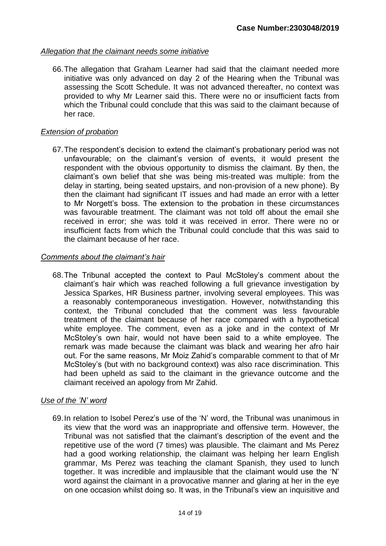#### *Allegation that the claimant needs some initiative*

66.The allegation that Graham Learner had said that the claimant needed more initiative was only advanced on day 2 of the Hearing when the Tribunal was assessing the Scott Schedule. It was not advanced thereafter, no context was provided to why Mr Learner said this. There were no or insufficient facts from which the Tribunal could conclude that this was said to the claimant because of her race.

#### *Extension of probation*

67.The respondent's decision to extend the claimant's probationary period was not unfavourable; on the claimant's version of events, it would present the respondent with the obvious opportunity to dismiss the claimant. By then, the claimant's own belief that she was being mis-treated was multiple: from the delay in starting, being seated upstairs, and non-provision of a new phone). By then the claimant had significant IT issues and had made an error with a letter to Mr Norgett's boss. The extension to the probation in these circumstances was favourable treatment. The claimant was not told off about the email she received in error; she was told it was received in error. There were no or insufficient facts from which the Tribunal could conclude that this was said to the claimant because of her race.

#### *Comments about the claimant's hair*

68.The Tribunal accepted the context to Paul McStoley's comment about the claimant's hair which was reached following a full grievance investigation by Jessica Sparkes, HR Business partner, involving several employees. This was a reasonably contemporaneous investigation. However, notwithstanding this context, the Tribunal concluded that the comment was less favourable treatment of the claimant because of her race compared with a hypothetical white employee. The comment, even as a joke and in the context of Mr McStoley's own hair, would not have been said to a white employee. The remark was made because the claimant was black and wearing her afro hair out. For the same reasons, Mr Moiz Zahid's comparable comment to that of Mr McStoley's (but with no background context) was also race discrimination. This had been upheld as said to the claimant in the grievance outcome and the claimant received an apology from Mr Zahid.

#### *Use of the 'N' word*

69.In relation to Isobel Perez's use of the 'N' word, the Tribunal was unanimous in its view that the word was an inappropriate and offensive term. However, the Tribunal was not satisfied that the claimant's description of the event and the repetitive use of the word (7 times) was plausible. The claimant and Ms Perez had a good working relationship, the claimant was helping her learn English grammar, Ms Perez was teaching the clamant Spanish, they used to lunch together. It was incredible and implausible that the claimant would use the 'N' word against the claimant in a provocative manner and glaring at her in the eye on one occasion whilst doing so. It was, in the Tribunal's view an inquisitive and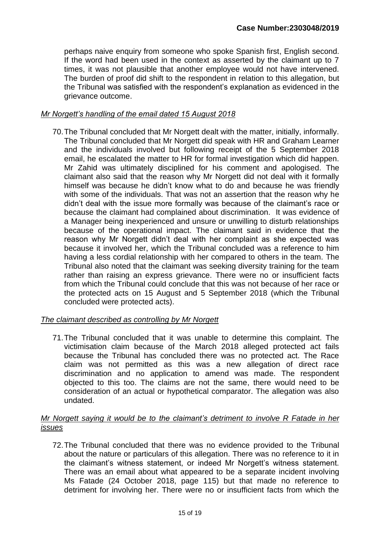perhaps naive enquiry from someone who spoke Spanish first, English second. If the word had been used in the context as asserted by the claimant up to 7 times, it was not plausible that another employee would not have intervened. The burden of proof did shift to the respondent in relation to this allegation, but the Tribunal was satisfied with the respondent's explanation as evidenced in the grievance outcome.

#### *Mr Norgett's handling of the email dated 15 August 2018*

70.The Tribunal concluded that Mr Norgett dealt with the matter, initially, informally. The Tribunal concluded that Mr Norgett did speak with HR and Graham Learner and the individuals involved but following receipt of the 5 September 2018 email, he escalated the matter to HR for formal investigation which did happen. Mr Zahid was ultimately disciplined for his comment and apologised. The claimant also said that the reason why Mr Norgett did not deal with it formally himself was because he didn't know what to do and because he was friendly with some of the individuals. That was not an assertion that the reason why he didn't deal with the issue more formally was because of the claimant's race or because the claimant had complained about discrimination. It was evidence of a Manager being inexperienced and unsure or unwilling to disturb relationships because of the operational impact. The claimant said in evidence that the reason why Mr Norgett didn't deal with her complaint as she expected was because it involved her, which the Tribunal concluded was a reference to him having a less cordial relationship with her compared to others in the team. The Tribunal also noted that the claimant was seeking diversity training for the team rather than raising an express grievance. There were no or insufficient facts from which the Tribunal could conclude that this was not because of her race or the protected acts on 15 August and 5 September 2018 (which the Tribunal concluded were protected acts).

#### *The claimant described as controlling by Mr Norgett*

71.The Tribunal concluded that it was unable to determine this complaint. The victimisation claim because of the March 2018 alleged protected act fails because the Tribunal has concluded there was no protected act. The Race claim was not permitted as this was a new allegation of direct race discrimination and no application to amend was made. The respondent objected to this too. The claims are not the same, there would need to be consideration of an actual or hypothetical comparator. The allegation was also undated.

#### *Mr Norgett saying it would be to the claimant's detriment to involve R Fatade in her issues*

72.The Tribunal concluded that there was no evidence provided to the Tribunal about the nature or particulars of this allegation. There was no reference to it in the claimant's witness statement, or indeed Mr Norgett's witness statement. There was an email about what appeared to be a separate incident involving Ms Fatade (24 October 2018, page 115) but that made no reference to detriment for involving her. There were no or insufficient facts from which the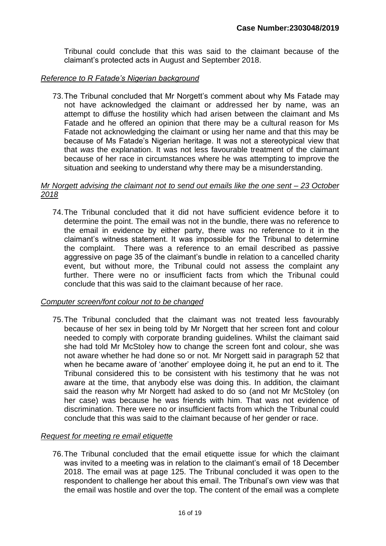Tribunal could conclude that this was said to the claimant because of the claimant's protected acts in August and September 2018.

#### *Reference to R Fatade's Nigerian background*

73.The Tribunal concluded that Mr Norgett's comment about why Ms Fatade may not have acknowledged the claimant or addressed her by name, was an attempt to diffuse the hostility which had arisen between the claimant and Ms Fatade and he offered an opinion that there may be a cultural reason for Ms Fatade not acknowledging the claimant or using her name and that this may be because of Ms Fatade's Nigerian heritage. It was not a stereotypical view that that *was* the explanation. It was not less favourable treatment of the claimant because of her race in circumstances where he was attempting to improve the situation and seeking to understand why there may be a misunderstanding.

#### *Mr Norgett advising the claimant not to send out emails like the one sent – 23 October 2018*

74.The Tribunal concluded that it did not have sufficient evidence before it to determine the point. The email was not in the bundle, there was no reference to the email in evidence by either party, there was no reference to it in the claimant's witness statement. It was impossible for the Tribunal to determine the complaint. There was a reference to an email described as passive aggressive on page 35 of the claimant's bundle in relation to a cancelled charity event, but without more, the Tribunal could not assess the complaint any further. There were no or insufficient facts from which the Tribunal could conclude that this was said to the claimant because of her race.

#### *Computer screen/font colour not to be changed*

75.The Tribunal concluded that the claimant was not treated less favourably because of her sex in being told by Mr Norgett that her screen font and colour needed to comply with corporate branding guidelines. Whilst the claimant said she had told Mr McStoley how to change the screen font and colour, she was not aware whether he had done so or not. Mr Norgett said in paragraph 52 that when he became aware of 'another' employee doing it, he put an end to it. The Tribunal considered this to be consistent with his testimony that he was not aware at the time, that anybody else was doing this. In addition, the claimant said the reason why Mr Norgett had asked to do so (and not Mr McStoley (on her case) was because he was friends with him. That was not evidence of discrimination. There were no or insufficient facts from which the Tribunal could conclude that this was said to the claimant because of her gender or race.

#### *Request for meeting re email etiquette*

76.The Tribunal concluded that the email etiquette issue for which the claimant was invited to a meeting was in relation to the claimant's email of 18 December 2018. The email was at page 125. The Tribunal concluded it was open to the respondent to challenge her about this email. The Tribunal's own view was that the email was hostile and over the top. The content of the email was a complete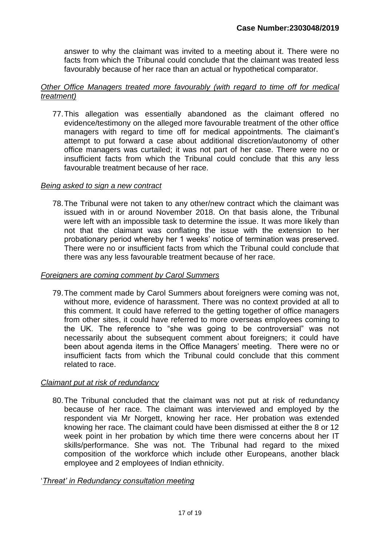answer to why the claimant was invited to a meeting about it. There were no facts from which the Tribunal could conclude that the claimant was treated less favourably because of her race than an actual or hypothetical comparator.

#### *Other Office Managers treated more favourably (with regard to time off for medical treatment)*

77.This allegation was essentially abandoned as the claimant offered no evidence/testimony on the alleged more favourable treatment of the other office managers with regard to time off for medical appointments. The claimant's attempt to put forward a case about additional discretion/autonomy of other office managers was curtailed; it was not part of her case. There were no or insufficient facts from which the Tribunal could conclude that this any less favourable treatment because of her race.

#### *Being asked to sign a new contract*

78.The Tribunal were not taken to any other/new contract which the claimant was issued with in or around November 2018. On that basis alone, the Tribunal were left with an impossible task to determine the issue. It was more likely than not that the claimant was conflating the issue with the extension to her probationary period whereby her 1 weeks' notice of termination was preserved. There were no or insufficient facts from which the Tribunal could conclude that there was any less favourable treatment because of her race.

#### *Foreigners are coming comment by Carol Summers*

79.The comment made by Carol Summers about foreigners were coming was not, without more, evidence of harassment. There was no context provided at all to this comment. It could have referred to the getting together of office managers from other sites, it could have referred to more overseas employees coming to the UK. The reference to "she was going to be controversial" was not necessarily about the subsequent comment about foreigners; it could have been about agenda items in the Office Managers' meeting. There were no or insufficient facts from which the Tribunal could conclude that this comment related to race.

#### *Claimant put at risk of redundancy*

80.The Tribunal concluded that the claimant was not put at risk of redundancy because of her race. The claimant was interviewed and employed by the respondent via Mr Norgett, knowing her race. Her probation was extended knowing her race. The claimant could have been dismissed at either the 8 or 12 week point in her probation by which time there were concerns about her IT skills/performance. She was not. The Tribunal had regard to the mixed composition of the workforce which include other Europeans, another black employee and 2 employees of Indian ethnicity.

#### '*Threat' in Redundancy consultation meeting*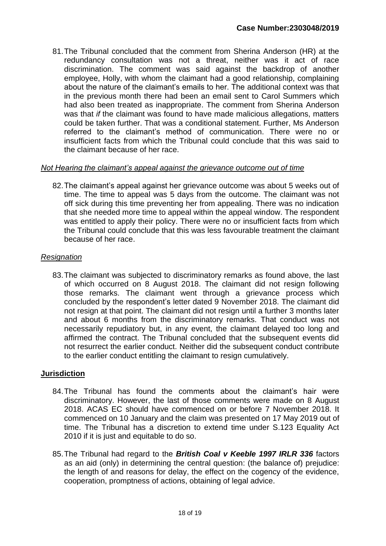81.The Tribunal concluded that the comment from Sherina Anderson (HR) at the redundancy consultation was not a threat, neither was it act of race discrimination. The comment was said against the backdrop of another employee, Holly, with whom the claimant had a good relationship, complaining about the nature of the claimant's emails to her. The additional context was that in the previous month there had been an email sent to Carol Summers which had also been treated as inappropriate. The comment from Sherina Anderson was that *if* the claimant was found to have made malicious allegations, matters could be taken further. That was a conditional statement. Further, Ms Anderson referred to the claimant's method of communication. There were no or insufficient facts from which the Tribunal could conclude that this was said to the claimant because of her race.

#### *Not Hearing the claimant's appeal against the grievance outcome out of time*

82.The claimant's appeal against her grievance outcome was about 5 weeks out of time. The time to appeal was 5 days from the outcome. The claimant was not off sick during this time preventing her from appealing. There was no indication that she needed more time to appeal within the appeal window. The respondent was entitled to apply their policy. There were no or insufficient facts from which the Tribunal could conclude that this was less favourable treatment the claimant because of her race.

#### *Resignation*

83.The claimant was subjected to discriminatory remarks as found above, the last of which occurred on 8 August 2018. The claimant did not resign following those remarks. The claimant went through a grievance process which concluded by the respondent's letter dated 9 November 2018. The claimant did not resign at that point. The claimant did not resign until a further 3 months later and about 6 months from the discriminatory remarks. That conduct was not necessarily repudiatory but, in any event, the claimant delayed too long and affirmed the contract. The Tribunal concluded that the subsequent events did not resurrect the earlier conduct. Neither did the subsequent conduct contribute to the earlier conduct entitling the claimant to resign cumulatively.

## **Jurisdiction**

- 84.The Tribunal has found the comments about the claimant's hair were discriminatory. However, the last of those comments were made on 8 August 2018. ACAS EC should have commenced on or before 7 November 2018. It commenced on 10 January and the claim was presented on 17 May 2019 out of time. The Tribunal has a discretion to extend time under S.123 Equality Act 2010 if it is just and equitable to do so.
- 85.The Tribunal had regard to the *British Coal v Keeble 1997 IRLR 336* factors as an aid (only) in determining the central question: (the balance of) prejudice: the length of and reasons for delay, the effect on the cogency of the evidence, cooperation, promptness of actions, obtaining of legal advice.